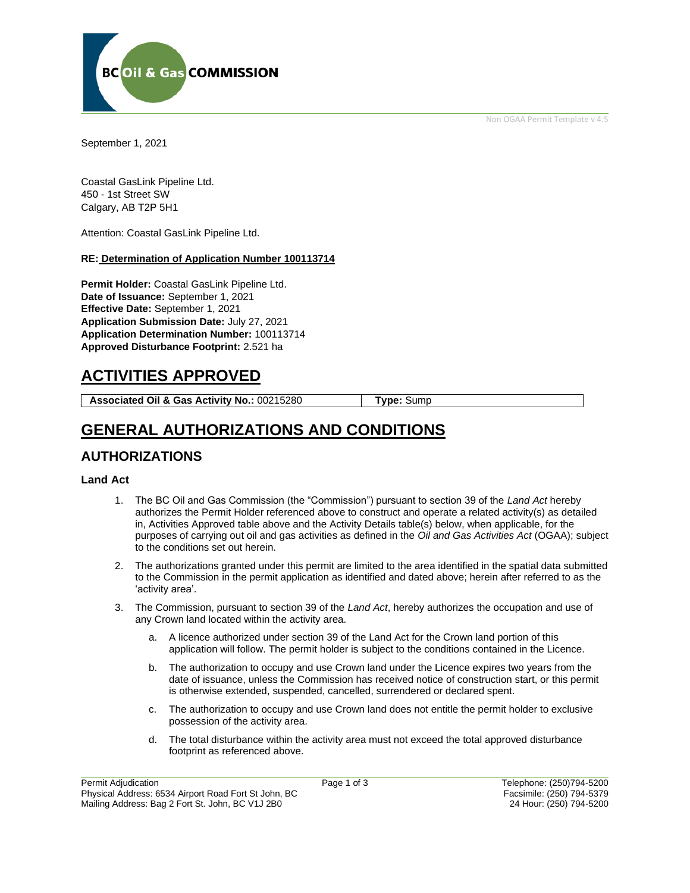Non OGAA Permit Template v 4.5



September 1, 2021

Coastal GasLink Pipeline Ltd. 450 - 1st Street SW Calgary, AB T2P 5H1

Attention: Coastal GasLink Pipeline Ltd.

#### **RE: Determination of Application Number 100113714**

**Permit Holder:** Coastal GasLink Pipeline Ltd. **Date of Issuance:** September 1, 2021 **Effective Date:** September 1, 2021 **Application Submission Date:** July 27, 2021 **Application Determination Number:** 100113714 **Approved Disturbance Footprint:** 2.521 ha

# **ACTIVITIES APPROVED**

**Associated Oil & Gas Activity No.:** 00215280 **Type:** Sump

## **GENERAL AUTHORIZATIONS AND CONDITIONS**

### **AUTHORIZATIONS**

#### **Land Act**

- 1. The BC Oil and Gas Commission (the "Commission") pursuant to section 39 of the *Land Act* hereby authorizes the Permit Holder referenced above to construct and operate a related activity(s) as detailed in, Activities Approved table above and the Activity Details table(s) below, when applicable, for the purposes of carrying out oil and gas activities as defined in the *Oil and Gas Activities Act* (OGAA); subject to the conditions set out herein.
- 2. The authorizations granted under this permit are limited to the area identified in the spatial data submitted to the Commission in the permit application as identified and dated above; herein after referred to as the 'activity area'.
- 3. The Commission, pursuant to section 39 of the *Land Act*, hereby authorizes the occupation and use of any Crown land located within the activity area.
	- a. A licence authorized under section 39 of the Land Act for the Crown land portion of this application will follow. The permit holder is subject to the conditions contained in the Licence.
	- b. The authorization to occupy and use Crown land under the Licence expires two years from the date of issuance, unless the Commission has received notice of construction start, or this permit is otherwise extended, suspended, cancelled, surrendered or declared spent.
	- c. The authorization to occupy and use Crown land does not entitle the permit holder to exclusive possession of the activity area.
	- d. The total disturbance within the activity area must not exceed the total approved disturbance footprint as referenced above.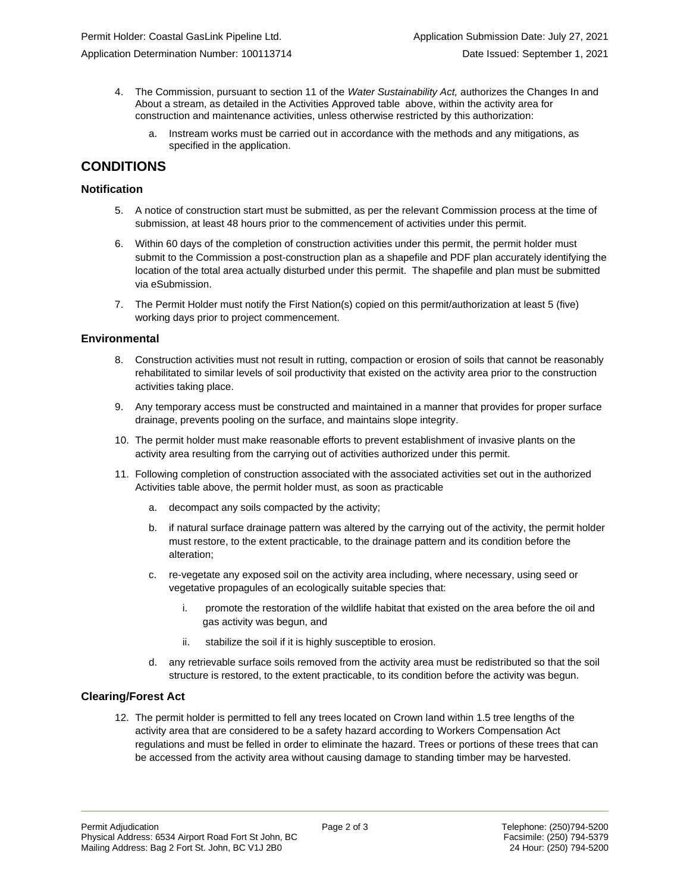- 4. The Commission, pursuant to section 11 of the *Water Sustainability Act,* authorizes the Changes In and About a stream, as detailed in the Activities Approved table above, within the activity area for construction and maintenance activities, unless otherwise restricted by this authorization:
	- a. Instream works must be carried out in accordance with the methods and any mitigations, as specified in the application.

### **CONDITIONS**

#### **Notification**

- 5. A notice of construction start must be submitted, as per the relevant Commission process at the time of submission, at least 48 hours prior to the commencement of activities under this permit.
- 6. Within 60 days of the completion of construction activities under this permit, the permit holder must submit to the Commission a post-construction plan as a shapefile and PDF plan accurately identifying the location of the total area actually disturbed under this permit. The shapefile and plan must be submitted via eSubmission.
- 7. The Permit Holder must notify the First Nation(s) copied on this permit/authorization at least 5 (five) working days prior to project commencement.

#### **Environmental**

- 8. Construction activities must not result in rutting, compaction or erosion of soils that cannot be reasonably rehabilitated to similar levels of soil productivity that existed on the activity area prior to the construction activities taking place.
- 9. Any temporary access must be constructed and maintained in a manner that provides for proper surface drainage, prevents pooling on the surface, and maintains slope integrity.
- 10. The permit holder must make reasonable efforts to prevent establishment of invasive plants on the activity area resulting from the carrying out of activities authorized under this permit.
- 11. Following completion of construction associated with the associated activities set out in the authorized Activities table above, the permit holder must, as soon as practicable
	- a. decompact any soils compacted by the activity;
	- b. if natural surface drainage pattern was altered by the carrying out of the activity, the permit holder must restore, to the extent practicable, to the drainage pattern and its condition before the alteration;
	- c. re-vegetate any exposed soil on the activity area including, where necessary, using seed or vegetative propagules of an ecologically suitable species that:
		- i. promote the restoration of the wildlife habitat that existed on the area before the oil and gas activity was begun, and
		- ii. stabilize the soil if it is highly susceptible to erosion.
	- d. any retrievable surface soils removed from the activity area must be redistributed so that the soil structure is restored, to the extent practicable, to its condition before the activity was begun.

#### **Clearing/Forest Act**

12. The permit holder is permitted to fell any trees located on Crown land within 1.5 tree lengths of the activity area that are considered to be a safety hazard according to Workers Compensation Act regulations and must be felled in order to eliminate the hazard. Trees or portions of these trees that can be accessed from the activity area without causing damage to standing timber may be harvested.